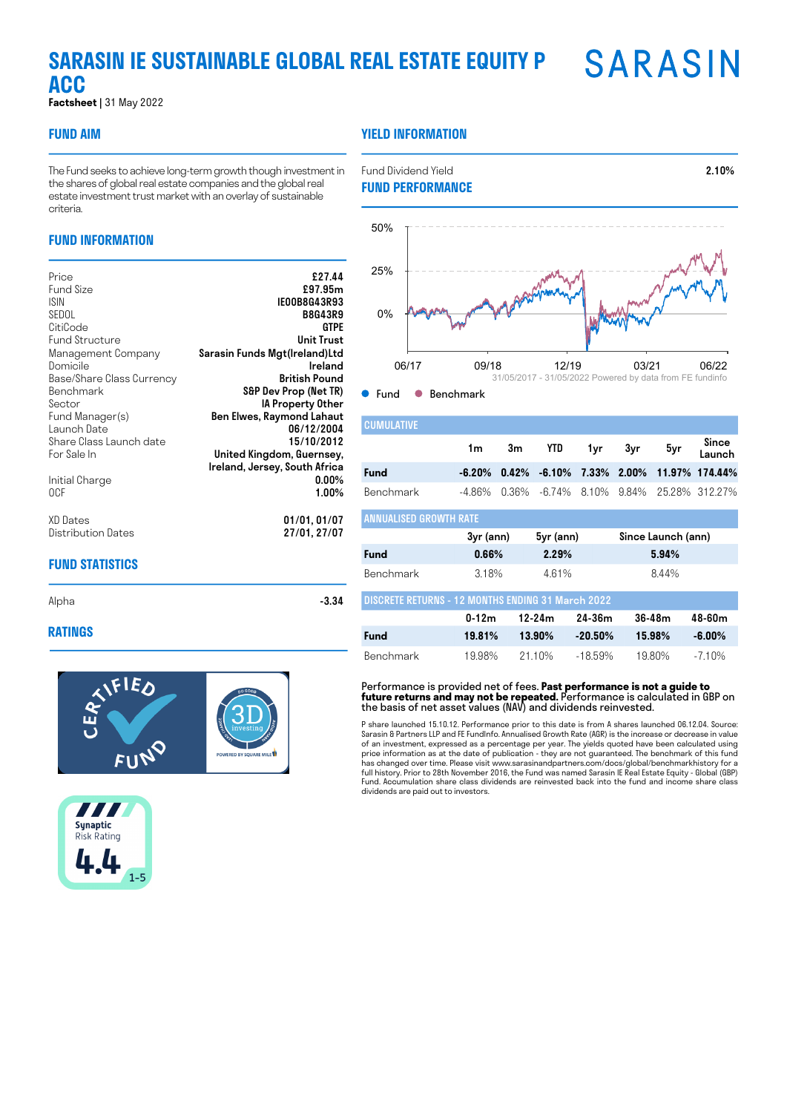# **SARASIN SARASIN IE SUSTAINABLE GLOBAL REAL ESTATE EQUITY P ACC**

**Factsheet |** 31 May 2022

# **FUND AIM**

# **YIELD INFORMATION**

The Fund seeks to achieve long-term growth though investment in the shares of global real estate companies and the global real estate investment trust market with an overlay of sustainable criteria.

# **FUND INFORMATION**

| Price<br>Fund Size<br>ISIN.<br>SEDOL | £27.44<br>£97.95m<br>IEOOB8G43R93<br><b>B8G43R9</b> |
|--------------------------------------|-----------------------------------------------------|
| CitiCode                             | <b>GTPE</b>                                         |
| <b>Fund Structure</b>                | Unit Trust                                          |
| Management Company                   | Sarasin Funds Mgt(Ireland)Ltd                       |
| Domicile                             | Ireland                                             |
| Base/Share Class Currency            | British Pound                                       |
| Benchmark                            | S&P Dev Prop (Net TR)                               |
| Sector                               | IA Property Other                                   |
| Fund Manager(s)                      | Ben Elwes, Raymond Lahaut                           |
| Launch Date                          | 06/12/2004                                          |
| Share Class Launch date              | 15/10/2012                                          |
| For Sale In                          | United Kingdom, Guernsey,                           |
|                                      | Ireland, Jersey, South Africa                       |
| Initial Charge                       | $0.00\%$                                            |
| 0CF                                  | $1.00\%$                                            |
| XD Dates                             | 01/01, 01/07                                        |
| Distribution Dates                   | 27/01, 27/07                                        |
|                                      |                                                     |

# **FUND STATISTICS**

#### **RATINGS**







Fund Dividend Yield 2.10%

● Fund ● Benchmark

| <b>CUMULATIVE</b>             |    |                    |  |                                                      |
|-------------------------------|----|--------------------|--|------------------------------------------------------|
|                               | 1m | 3m YTD 1yr 3yr 5yr |  | Since<br>Launch                                      |
| <b>Fund</b>                   |    |                    |  | $-6.20\%$ 0.42% $-6.10\%$ 7.33% 2.00% 11.97% 174.44% |
| Benchmark                     |    |                    |  | -4.86% 0.36% -6.74% 8.10% 9.84% 25.28% 312.27%       |
| <b>ANNUALISED GROWTH RATE</b> |    |                    |  |                                                      |
|                               |    |                    |  |                                                      |

|                                                          | 3yr (ann) | 5yr (ann) | Since Launch (ann) |
|----------------------------------------------------------|-----------|-----------|--------------------|
| Fund                                                     | 0.66%     | 2.29%     | 5.94%              |
| <b>Benchmark</b>                                         | 318%      | 461%      | 844%               |
| <b>DISCRETE RETURNS - 12 MONTHS ENDING 31 March 2022</b> |           |           |                    |

|             | $0 - 12m$ | 12-24m | 24-36m               | 36-48m | 48-60m |
|-------------|-----------|--------|----------------------|--------|--------|
| <b>Fund</b> | 19.81%    |        | $13.90\%$ $-20.50\%$ | 15.98% | -6.00% |
| Benchmark   | 1998%     | 2110%  | -1859%               | 1980%  | -710%  |

Performance is provided net of fees. **Past performance is not a guide to future returns and may not be repeated.** Performance is calculated in GBP on the basis of net asset values (NAV) and dividends reinvested.

P share launched 15.10.12. Performance prior to this date is from A shares launched 06.12.04. Source: Sarasin & Partners LLP and FE FundInfo. Annualised Growth Rate (AGR) is the increase or decrease in value of an investment, expressed as a percentage per year. The yields quoted have been calculated using price information as at the date of publication - they are not guaranteed. The benchmark of this fund has changed over time. Please visit www.sarasinandpartners.com/docs/global/benchmarkhistory for a full history. Prior to 28th November 2016, the Fund was named Sarasin IE Real Estate Equity - Global (GBP) Fund. Accumulation share class dividends are reinvested back into the fund and income share class dividends are paid out to investors.

Alpha  $-3.34$